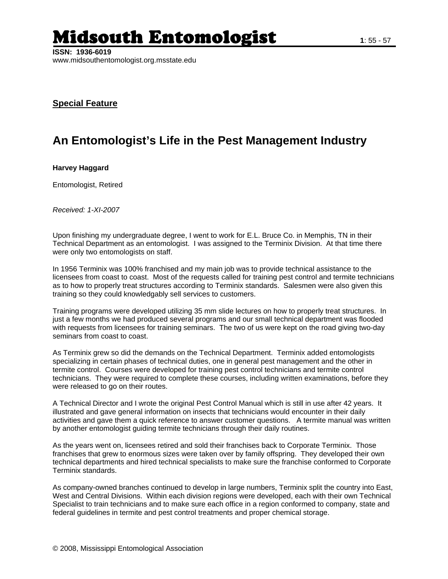## **Midsouth Entomologist** 1:55-57

## **Special Feature**

## **An Entomologist's Life in the Pest Management Industry**

## **Harvey Haggard**

Entomologist, Retired

*Received: 1-XI-2007* 

Upon finishing my undergraduate degree, I went to work for E.L. Bruce Co. in Memphis, TN in their Technical Department as an entomologist. I was assigned to the Terminix Division. At that time there were only two entomologists on staff.

In 1956 Terminix was 100% franchised and my main job was to provide technical assistance to the licensees from coast to coast. Most of the requests called for training pest control and termite technicians as to how to properly treat structures according to Terminix standards. Salesmen were also given this training so they could knowledgably sell services to customers.

Training programs were developed utilizing 35 mm slide lectures on how to properly treat structures. In just a few months we had produced several programs and our small technical department was flooded with requests from licensees for training seminars. The two of us were kept on the road giving two-day seminars from coast to coast.

As Terminix grew so did the demands on the Technical Department. Terminix added entomologists specializing in certain phases of technical duties, one in general pest management and the other in termite control. Courses were developed for training pest control technicians and termite control technicians. They were required to complete these courses, including written examinations, before they were released to go on their routes.

A Technical Director and I wrote the original Pest Control Manual which is still in use after 42 years. It illustrated and gave general information on insects that technicians would encounter in their daily activities and gave them a quick reference to answer customer questions. A termite manual was written by another entomologist guiding termite technicians through their daily routines.

As the years went on, licensees retired and sold their franchises back to Corporate Terminix. Those franchises that grew to enormous sizes were taken over by family offspring. They developed their own technical departments and hired technical specialists to make sure the franchise conformed to Corporate Terminix standards.

As company-owned branches continued to develop in large numbers, Terminix split the country into East, West and Central Divisions. Within each division regions were developed, each with their own Technical Specialist to train technicians and to make sure each office in a region conformed to company, state and federal guidelines in termite and pest control treatments and proper chemical storage.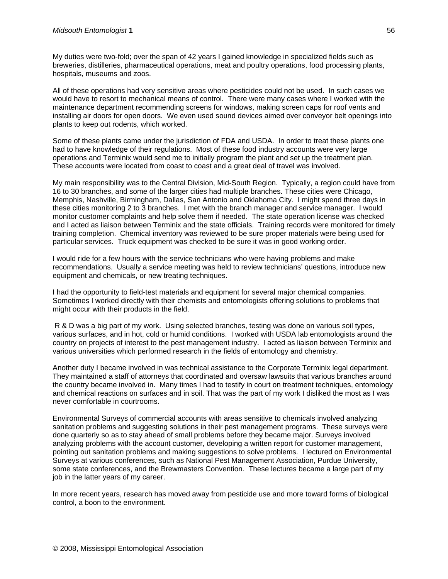My duties were two-fold; over the span of 42 years I gained knowledge in specialized fields such as breweries, distilleries, pharmaceutical operations, meat and poultry operations, food processing plants, hospitals, museums and zoos.

All of these operations had very sensitive areas where pesticides could not be used. In such cases we would have to resort to mechanical means of control. There were many cases where I worked with the maintenance department recommending screens for windows, making screen caps for roof vents and installing air doors for open doors. We even used sound devices aimed over conveyor belt openings into plants to keep out rodents, which worked.

Some of these plants came under the jurisdiction of FDA and USDA. In order to treat these plants one had to have knowledge of their regulations. Most of these food industry accounts were very large operations and Terminix would send me to initially program the plant and set up the treatment plan. These accounts were located from coast to coast and a great deal of travel was involved.

My main responsibility was to the Central Division, Mid-South Region. Typically, a region could have from 16 to 30 branches, and some of the larger cities had multiple branches. These cities were Chicago, Memphis, Nashville, Birmingham, Dallas, San Antonio and Oklahoma City. I might spend three days in these cities monitoring 2 to 3 branches. I met with the branch manager and service manager. I would monitor customer complaints and help solve them if needed. The state operation license was checked and I acted as liaison between Terminix and the state officials. Training records were monitored for timely training completion. Chemical inventory was reviewed to be sure proper materials were being used for particular services. Truck equipment was checked to be sure it was in good working order.

I would ride for a few hours with the service technicians who were having problems and make recommendations. Usually a service meeting was held to review technicians' questions, introduce new equipment and chemicals, or new treating techniques.

I had the opportunity to field-test materials and equipment for several major chemical companies. Sometimes I worked directly with their chemists and entomologists offering solutions to problems that might occur with their products in the field.

 R & D was a big part of my work. Using selected branches, testing was done on various soil types, various surfaces, and in hot, cold or humid conditions. I worked with USDA lab entomologists around the country on projects of interest to the pest management industry. I acted as liaison between Terminix and various universities which performed research in the fields of entomology and chemistry.

Another duty I became involved in was technical assistance to the Corporate Terminix legal department. They maintained a staff of attorneys that coordinated and oversaw lawsuits that various branches around the country became involved in. Many times I had to testify in court on treatment techniques, entomology and chemical reactions on surfaces and in soil. That was the part of my work I disliked the most as I was never comfortable in courtrooms.

Environmental Surveys of commercial accounts with areas sensitive to chemicals involved analyzing sanitation problems and suggesting solutions in their pest management programs. These surveys were done quarterly so as to stay ahead of small problems before they became major. Surveys involved analyzing problems with the account customer, developing a written report for customer management, pointing out sanitation problems and making suggestions to solve problems. I lectured on Environmental Surveys at various conferences, such as National Pest Management Association, Purdue University, some state conferences, and the Brewmasters Convention. These lectures became a large part of my job in the latter years of my career.

In more recent years, research has moved away from pesticide use and more toward forms of biological control, a boon to the environment.